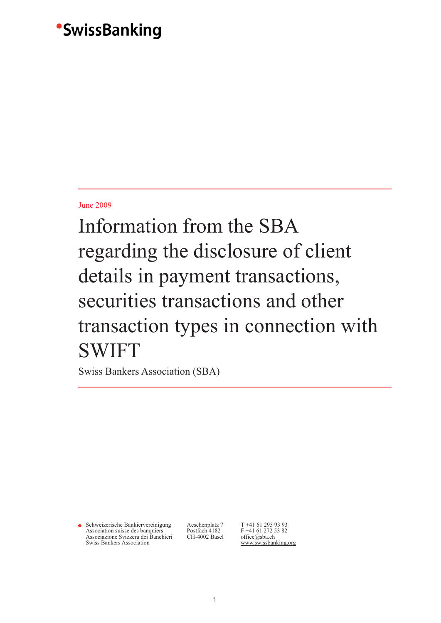## June 2009

Information from the SBA regarding the disclosure of client details in payment transactions, securities transactions and other transaction types in connection with SWIFT

Swiss Bankers Association (SBA)

• Schweizerische Bankiervereinigung Aeschenplatz 7 T +41 61 295 93 93<br>Association suisse des banquiers Postfach 4182 F +41 61 272 53 82 Association suisse des banquiers Postfach 4182 F +41 61 272 5<br>Associazione Svizzera dei Banchieri CH-4002 Basel office@sba.ch Associazione Svizzera dei Banchieri<br>Swiss Bankers Association

www.swissbanking.org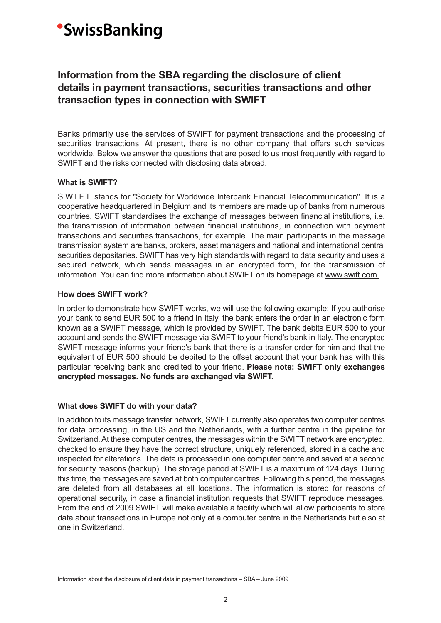## **Information from the SBA regarding the disclosure of client details in payment transactions, securities transactions and other transaction types in connection with SWIFT**

Banks primarily use the services of SWIFT for payment transactions and the processing of securities transactions. At present, there is no other company that offers such services worldwide. Below we answer the questions that are posed to us most frequently with regard to SWIFT and the risks connected with disclosing data abroad.

### **What is SWIFT?**

S.W.I.F.T. stands for "Society for Worldwide Interbank Financial Telecommunication". It is a cooperative headquartered in Belgium and its members are made up of banks from numerous countries. SWIFT standardises the exchange of messages between financial institutions, i.e. the transmission of information between financial institutions, in connection with payment transactions and securities transactions, for example. The main participants in the message transmission system are banks, brokers, asset managers and national and international central securities depositaries. SWIFT has very high standards with regard to data security and uses a secured network, which sends messages in an encrypted form, for the transmission of information. You can find more information about SWIFT on its homepage at www.swift.com.

### **How does SWIFT work?**

In order to demonstrate how SWIFT works, we will use the following example: If you authorise your bank to send EUR 500 to a friend in Italy, the bank enters the order in an electronic form known as a SWIFT message, which is provided by SWIFT. The bank debits EUR 500 to your account and sends the SWIFT message via SWIFT to your friend's bank in Italy. The encrypted SWIFT message informs your friend's bank that there is a transfer order for him and that the equivalent of EUR 500 should be debited to the offset account that your bank has with this particular receiving bank and credited to your friend. **Please note: SWIFT only exchanges encrypted messages. No funds are exchanged via SWIFT.** 

## **What does SWIFT do with your data?**

In addition to its message transfer network, SWIFT currently also operates two computer centres for data processing, in the US and the Netherlands, with a further centre in the pipeline for Switzerland. At these computer centres, the messages within the SWIFT network are encrypted, checked to ensure they have the correct structure, uniquely referenced, stored in a cache and inspected for alterations. The data is processed in one computer centre and saved at a second for security reasons (backup). The storage period at SWIFT is a maximum of 124 days. During this time, the messages are saved at both computer centres. Following this period, the messages are deleted from all databases at all locations. The information is stored for reasons of operational security, in case a financial institution requests that SWIFT reproduce messages. From the end of 2009 SWIFT will make available a facility which will allow participants to store data about transactions in Europe not only at a computer centre in the Netherlands but also at one in Switzerland.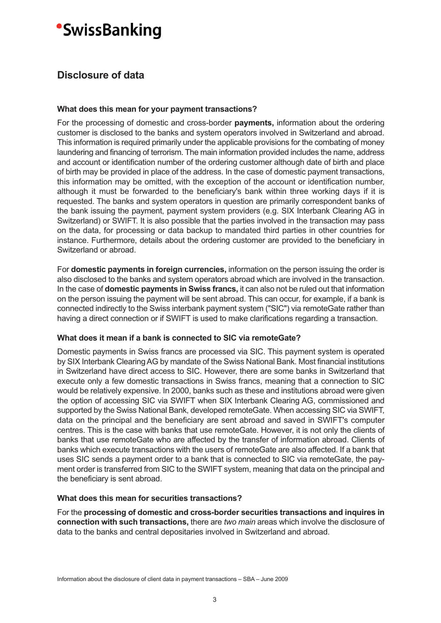## **Disclosure of data**

## **What does this mean for your payment transactions?**

For the processing of domestic and cross-border **payments,** information about the ordering customer is disclosed to the banks and system operators involved in Switzerland and abroad. This information is required primarily under the applicable provisions for the combating of money laundering and financing of terrorism. The main information provided includes the name, address and account or identification number of the ordering customer although date of birth and place of birth may be provided in place of the address. In the case of domestic payment transactions, this information may be omitted, with the exception of the account or identification number, although it must be forwarded to the beneficiary's bank within three working days if it is requested. The banks and system operators in question are primarily correspondent banks of the bank issuing the payment, payment system providers (e.g. SIX Interbank Clearing AG in Switzerland) or SWIFT. It is also possible that the parties involved in the transaction may pass on the data, for processing or data backup to mandated third parties in other countries for instance. Furthermore, details about the ordering customer are provided to the beneficiary in Switzerland or abroad.

For **domestic payments in foreign currencies,** information on the person issuing the order is also disclosed to the banks and system operators abroad which are involved in the transaction. In the case of **domestic payments in Swiss francs,** it can also not be ruled out that information on the person issuing the payment will be sent abroad. This can occur, for example, if a bank is connected indirectly to the Swiss interbank payment system ("SIC") via remoteGate rather than having a direct connection or if SWIFT is used to make clarifications regarding a transaction.

## **What does it mean if a bank is connected to SIC via remoteGate?**

Domestic payments in Swiss francs are processed via SIC. This payment system is operated by SIX Interbank Clearing AG by mandate of the Swiss National Bank. Most financial institutions in Switzerland have direct access to SIC. However, there are some banks in Switzerland that execute only a few domestic transactions in Swiss francs, meaning that a connection to SIC would be relatively expensive. In 2000, banks such as these and institutions abroad were given the option of accessing SIC via SWIFT when SIX Interbank Clearing AG, commissioned and supported by the Swiss National Bank, developed remoteGate. When accessing SIC via SWIFT, data on the principal and the beneficiary are sent abroad and saved in SWIFT's computer centres. This is the case with banks that use remoteGate. However, it is not only the clients of banks that use remoteGate who are affected by the transfer of information abroad. Clients of banks which execute transactions with the users of remoteGate are also affected. If a bank that uses SIC sends a payment order to a bank that is connected to SIC via remoteGate, the payment order is transferred from SIC to the SWIFT system, meaning that data on the principal and the beneficiary is sent abroad.

## **What does this mean for securities transactions?**

For the **processing of domestic and cross-border securities transactions and inquires in connection with such transactions,** there are *two main* areas which involve the disclosure of data to the banks and central depositaries involved in Switzerland and abroad.